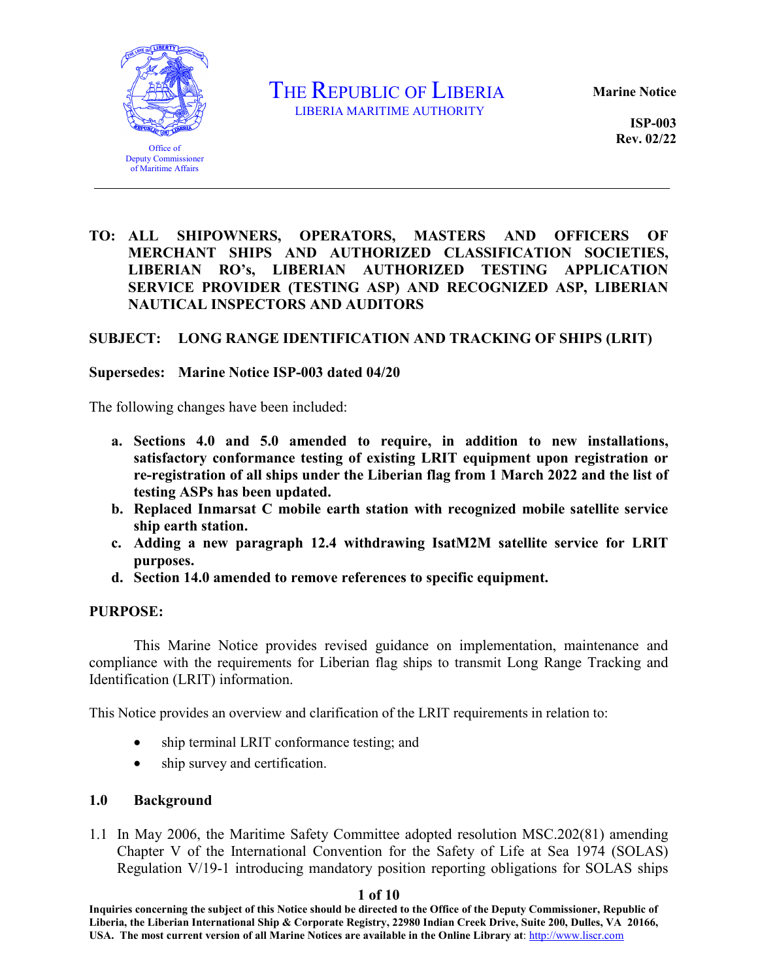

THE REPUBLIC OF LIBERIA

**Marine Notice**

**ISP-003 Rev. 02/22**

### **TO: ALL SHIPOWNERS, OPERATORS, MASTERS AND OFFICERS OF MERCHANT SHIPS AND AUTHORIZED CLASSIFICATION SOCIETIES, LIBERIAN RO's, LIBERIAN AUTHORIZED TESTING APPLICATION SERVICE PROVIDER (TESTING ASP) AND RECOGNIZED ASP, LIBERIAN NAUTICAL INSPECTORS AND AUDITORS**

### **SUBJECT: LONG RANGE IDENTIFICATION AND TRACKING OF SHIPS (LRIT)**

#### **Supersedes: Marine Notice ISP-003 dated 04/20**

The following changes have been included:

- **a. Sections 4.0 and 5.0 amended to require, in addition to new installations, satisfactory conformance testing of existing LRIT equipment upon registration or re-registration of all ships under the Liberian flag from 1 March 2022 and the list of testing ASPs has been updated.**
- **b. Replaced Inmarsat C mobile earth station with recognized mobile satellite service ship earth station.**
- **c. Adding a new paragraph 12.4 withdrawing IsatM2M satellite service for LRIT purposes.**
- **d. Section 14.0 amended to remove references to specific equipment.**

#### **PURPOSE:**

This Marine Notice provides revised guidance on implementation, maintenance and compliance with the requirements for Liberian flag ships to transmit Long Range Tracking and Identification (LRIT) information.

This Notice provides an overview and clarification of the LRIT requirements in relation to:

- ship terminal LRIT conformance testing; and
- ship survey and certification.

#### **1.0 Background**

1.1 In May 2006, the Maritime Safety Committee adopted resolution MSC.202(81) amending Chapter V of the International Convention for the Safety of Life at Sea 1974 (SOLAS) Regulation V/19-1 introducing mandatory position reporting obligations for SOLAS ships

#### **1 of 10**

**Inquiries concerning the subject of this Notice should be directed to the Office of the Deputy Commissioner, Republic of Liberia, the Liberian International Ship & Corporate Registry, 22980 Indian Creek Drive, Suite 200, Dulles, VA 20166, USA. The most current version of all Marine Notices are available in the Online Library at**[: http://www.liscr.com](http://www.liscr.com/)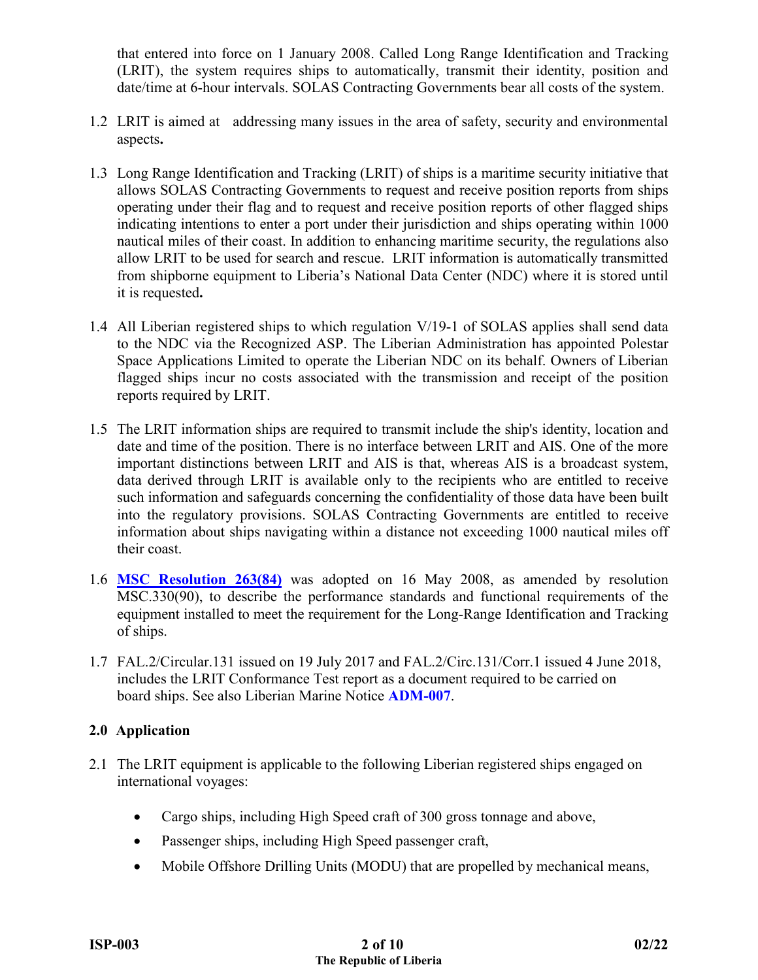that entered into force on 1 January 2008. Called Long Range Identification and Tracking (LRIT), the system requires ships to automatically, transmit their identity, position and date/time at 6-hour intervals. SOLAS Contracting Governments bear all costs of the system.

- 1.2 LRIT is aimed at addressing many issues in the area of safety, security and environmental aspects**.**
- 1.3 Long Range Identification and Tracking (LRIT) of ships is a maritime security initiative that allows SOLAS Contracting Governments to request and receive position reports from ships operating under their flag and to request and receive position reports of other flagged ships indicating intentions to enter a port under their jurisdiction and ships operating within 1000 nautical miles of their coast. In addition to enhancing maritime security, the regulations also allow LRIT to be used for search and rescue. LRIT information is automatically transmitted from shipborne equipment to Liberia's National Data Center (NDC) where it is stored until it is requested**.**
- 1.4 All Liberian registered ships to which regulation V/19-1 of SOLAS applies shall send data to the NDC via the Recognized ASP. The Liberian Administration has appointed Polestar Space Applications Limited to operate the Liberian NDC on its behalf. Owners of Liberian flagged ships incur no costs associated with the transmission and receipt of the position reports required by LRIT.
- 1.5 The LRIT information ships are required to transmit include the ship's identity, location and date and time of the position. There is no interface between LRIT and AIS. One of the more important distinctions between LRIT and AIS is that, whereas AIS is a broadcast system, data derived through LRIT is available only to the recipients who are entitled to receive such information and safeguards concerning the confidentiality of those data have been built into the regulatory provisions. SOLAS Contracting Governments are entitled to receive information about ships navigating within a distance not exceeding 1000 nautical miles off their coast.
- 1.6 **[MSC Resolution 263\(84\)](https://wwwcdn.imo.org/localresources/en/OurWork/Safety/Documents/LRIT/MSC.263(84).pdf)** was adopted on 16 May 2008, as amended by resolution MSC.330(90), to describe the performance standards and functional requirements of the equipment installed to meet the requirement for the Long-Range Identification and Tracking of ships.
- 1.7 FAL.2/Circular.131 issued on 19 July 2017 and FAL.2/Circ.131/Corr.1 issued 4 June 2018, includes the LRIT Conformance Test report as a document required to be carried on board ships. See also Liberian Marine Notice **[ADM-007](https://www.liscr.com/online-library-official-guidance?f[]=field_document_category:92)**.

# **2.0 Application**

- 2.1 The LRIT equipment is applicable to the following Liberian registered ships engaged on international voyages:
	- Cargo ships, including High Speed craft of 300 gross tonnage and above,
	- Passenger ships, including High Speed passenger craft,
	- Mobile Offshore Drilling Units (MODU) that are propelled by mechanical means,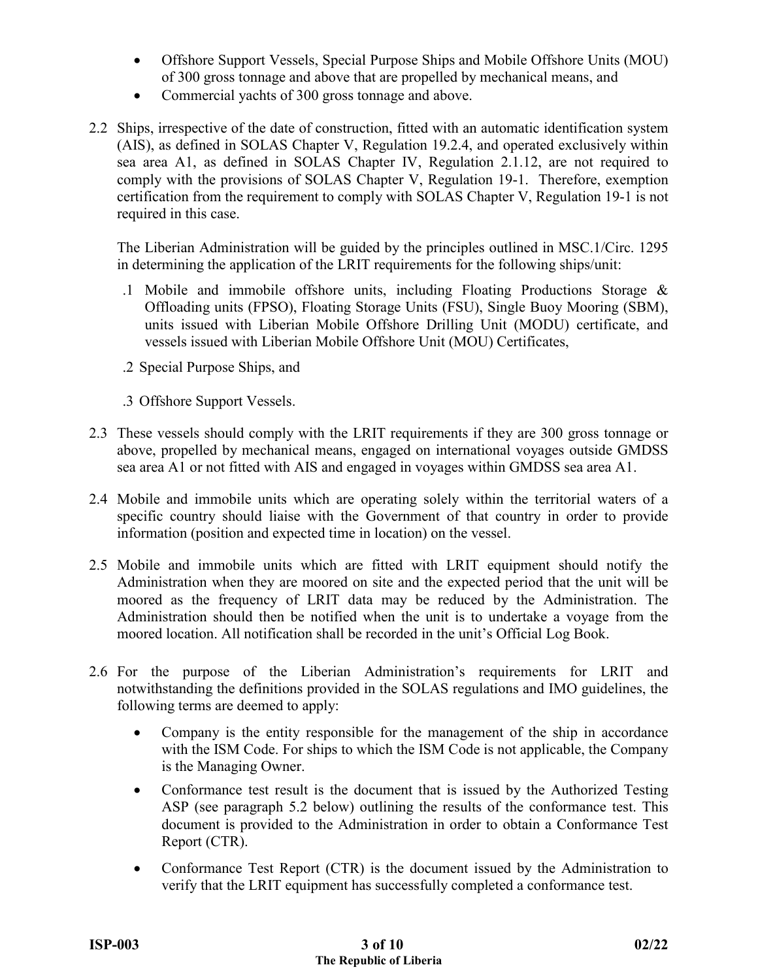- Offshore Support Vessels, Special Purpose Ships and Mobile Offshore Units (MOU) of 300 gross tonnage and above that are propelled by mechanical means, and
- Commercial yachts of 300 gross tonnage and above.
- 2.2 Ships, irrespective of the date of construction, fitted with an automatic identification system (AIS), as defined in SOLAS Chapter V, Regulation 19.2.4, and operated exclusively within sea area A1, as defined in SOLAS Chapter IV, Regulation 2.1.12, are not required to comply with the provisions of SOLAS Chapter V, Regulation 19-1. Therefore, exemption certification from the requirement to comply with SOLAS Chapter V, Regulation 19-1 is not required in this case.

The Liberian Administration will be guided by the principles outlined in MSC.1/Circ. 1295 in determining the application of the LRIT requirements for the following ships/unit:

- .1 Mobile and immobile offshore units, including Floating Productions Storage & Offloading units (FPSO), Floating Storage Units (FSU), Single Buoy Mooring (SBM), units issued with Liberian Mobile Offshore Drilling Unit (MODU) certificate, and vessels issued with Liberian Mobile Offshore Unit (MOU) Certificates,
- .2 Special Purpose Ships, and
- .3 Offshore Support Vessels.
- 2.3 These vessels should comply with the LRIT requirements if they are 300 gross tonnage or above, propelled by mechanical means, engaged on international voyages outside GMDSS sea area A1 or not fitted with AIS and engaged in voyages within GMDSS sea area A1.
- 2.4 Mobile and immobile units which are operating solely within the territorial waters of a specific country should liaise with the Government of that country in order to provide information (position and expected time in location) on the vessel.
- 2.5 Mobile and immobile units which are fitted with LRIT equipment should notify the Administration when they are moored on site and the expected period that the unit will be moored as the frequency of LRIT data may be reduced by the Administration. The Administration should then be notified when the unit is to undertake a voyage from the moored location. All notification shall be recorded in the unit's Official Log Book.
- 2.6 For the purpose of the Liberian Administration's requirements for LRIT and notwithstanding the definitions provided in the SOLAS regulations and IMO guidelines, the following terms are deemed to apply:
	- Company is the entity responsible for the management of the ship in accordance with the ISM Code. For ships to which the ISM Code is not applicable, the Company is the Managing Owner.
	- Conformance test result is the document that is issued by the Authorized Testing ASP (see paragraph 5.2 below) outlining the results of the conformance test. This document is provided to the Administration in order to obtain a Conformance Test Report (CTR).
	- Conformance Test Report (CTR) is the document issued by the Administration to verify that the LRIT equipment has successfully completed a conformance test.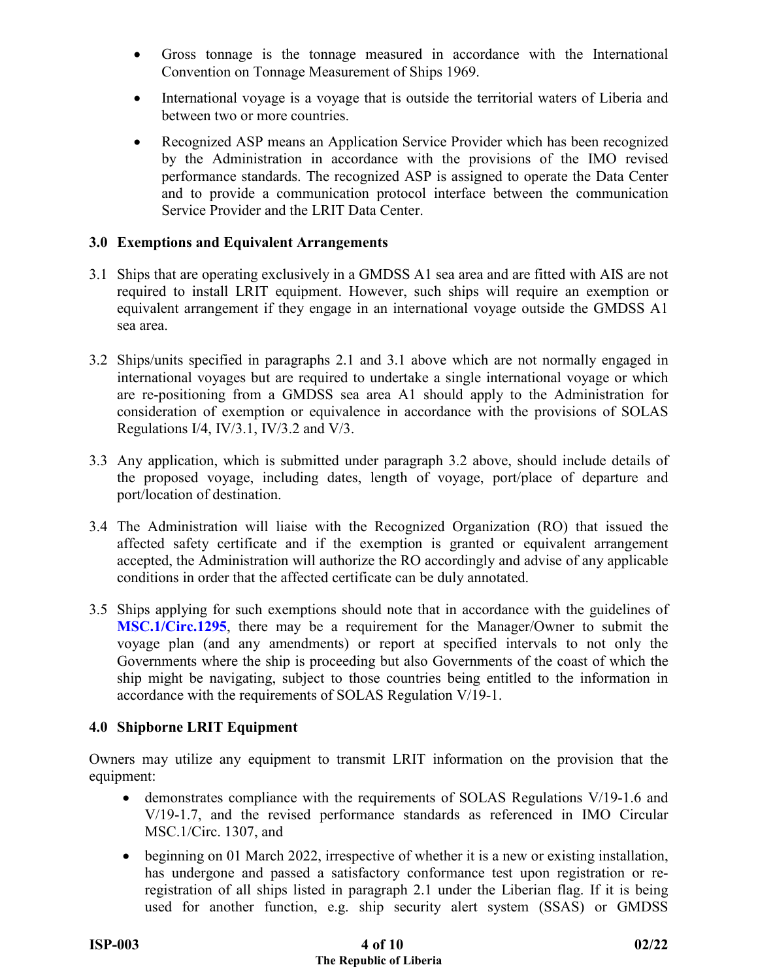- Gross tonnage is the tonnage measured in accordance with the International Convention on Tonnage Measurement of Ships 1969.
- International voyage is a voyage that is outside the territorial waters of Liberia and between two or more countries.
- Recognized ASP means an Application Service Provider which has been recognized by the Administration in accordance with the provisions of the IMO revised performance standards. The recognized ASP is assigned to operate the Data Center and to provide a communication protocol interface between the communication Service Provider and the LRIT Data Center.

## **3.0 Exemptions and Equivalent Arrangements**

- 3.1 Ships that are operating exclusively in a GMDSS A1 sea area and are fitted with AIS are not required to install LRIT equipment. However, such ships will require an exemption or equivalent arrangement if they engage in an international voyage outside the GMDSS A1 sea area.
- 3.2 Ships/units specified in paragraphs 2.1 and 3.1 above which are not normally engaged in international voyages but are required to undertake a single international voyage or which are re-positioning from a GMDSS sea area A1 should apply to the Administration for consideration of exemption or equivalence in accordance with the provisions of SOLAS Regulations I/4, IV/3.1, IV/3.2 and V/3.
- 3.3 Any application, which is submitted under paragraph 3.2 above, should include details of the proposed voyage, including dates, length of voyage, port/place of departure and port/location of destination.
- 3.4 The Administration will liaise with the Recognized Organization (RO) that issued the affected safety certificate and if the exemption is granted or equivalent arrangement accepted, the Administration will authorize the RO accordingly and advise of any applicable conditions in order that the affected certificate can be duly annotated.
- 3.5 Ships applying for such exemptions should note that in accordance with the guidelines of **[MSC.1/Circ.1295](https://www.liscr.com/sites/default/files/liscr_imo_resolutions/MSC.1-Circ.1295.pdf)**, there may be a requirement for the Manager/Owner to submit the voyage plan (and any amendments) or report at specified intervals to not only the Governments where the ship is proceeding but also Governments of the coast of which the ship might be navigating, subject to those countries being entitled to the information in accordance with the requirements of SOLAS Regulation V/19-1.

# **4.0 Shipborne LRIT Equipment**

Owners may utilize any equipment to transmit LRIT information on the provision that the equipment:

- demonstrates compliance with the requirements of SOLAS Regulations V/19-1.6 and V/19-1.7, and the revised performance standards as referenced in IMO Circular MSC.1/Circ. 1307, and
- beginning on 01 March 2022, irrespective of whether it is a new or existing installation, has undergone and passed a satisfactory conformance test upon registration or reregistration of all ships listed in paragraph 2.1 under the Liberian flag. If it is being used for another function, e.g. ship security alert system (SSAS) or GMDSS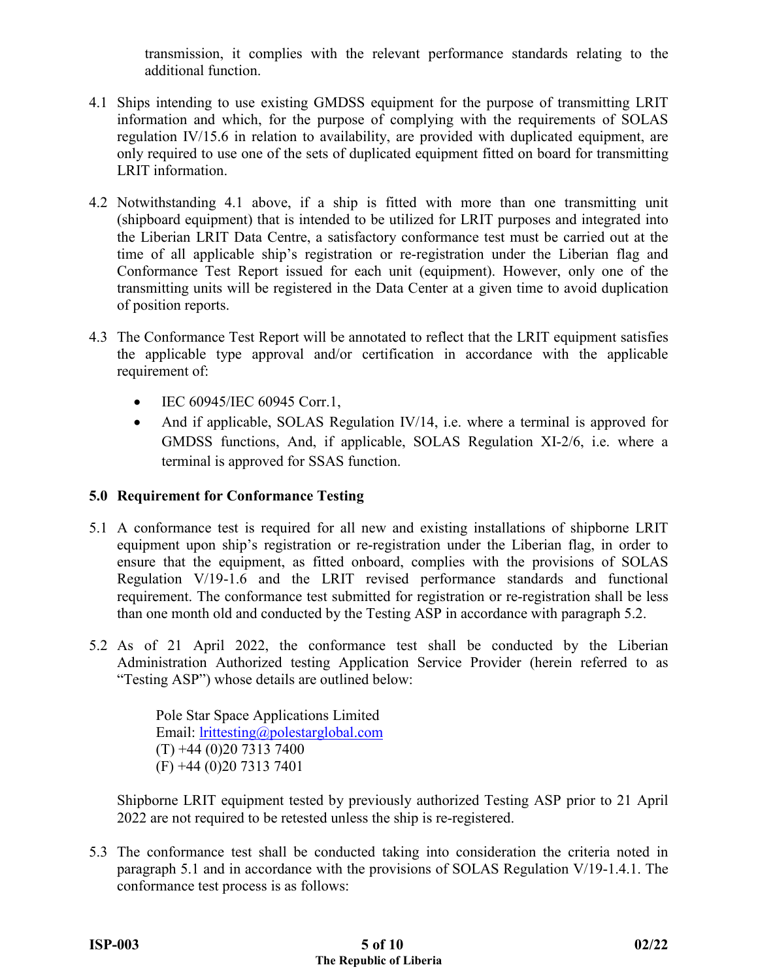transmission, it complies with the relevant performance standards relating to the additional function.

- 4.1 Ships intending to use existing GMDSS equipment for the purpose of transmitting LRIT information and which, for the purpose of complying with the requirements of SOLAS regulation IV/15.6 in relation to availability, are provided with duplicated equipment, are only required to use one of the sets of duplicated equipment fitted on board for transmitting LRIT information.
- 4.2 Notwithstanding 4.1 above, if a ship is fitted with more than one transmitting unit (shipboard equipment) that is intended to be utilized for LRIT purposes and integrated into the Liberian LRIT Data Centre, a satisfactory conformance test must be carried out at the time of all applicable ship's registration or re-registration under the Liberian flag and Conformance Test Report issued for each unit (equipment). However, only one of the transmitting units will be registered in the Data Center at a given time to avoid duplication of position reports.
- 4.3 The Conformance Test Report will be annotated to reflect that the LRIT equipment satisfies the applicable type approval and/or certification in accordance with the applicable requirement of:
	- IEC 60945/IEC 60945 Corr.1,
	- And if applicable, SOLAS Regulation IV/14, i.e. where a terminal is approved for GMDSS functions, And, if applicable, SOLAS Regulation XI-2/6, i.e. where a terminal is approved for SSAS function.

# **5.0 Requirement for Conformance Testing**

- 5.1 A conformance test is required for all new and existing installations of shipborne LRIT equipment upon ship's registration or re-registration under the Liberian flag, in order to ensure that the equipment, as fitted onboard, complies with the provisions of SOLAS Regulation V/19-1.6 and the LRIT revised performance standards and functional requirement. The conformance test submitted for registration or re-registration shall be less than one month old and conducted by the Testing ASP in accordance with paragraph 5.2.
- 5.2 As of 21 April 2022, the conformance test shall be conducted by the Liberian Administration Authorized testing Application Service Provider (herein referred to as "Testing ASP") whose details are outlined below:

Pole Star Space Applications Limited Email: [lrittesting@polestarglobal.com](mailto:lrittesting@polestarglobal.com)   $(T) +44 (0)20 7313 7400$ (F) +44 (0)20 7313 7401

Shipborne LRIT equipment tested by previously authorized Testing ASP prior to 21 April 2022 are not required to be retested unless the ship is re-registered.

5.3 The conformance test shall be conducted taking into consideration the criteria noted in paragraph 5.1 and in accordance with the provisions of SOLAS Regulation V/19-1.4.1. The conformance test process is as follows: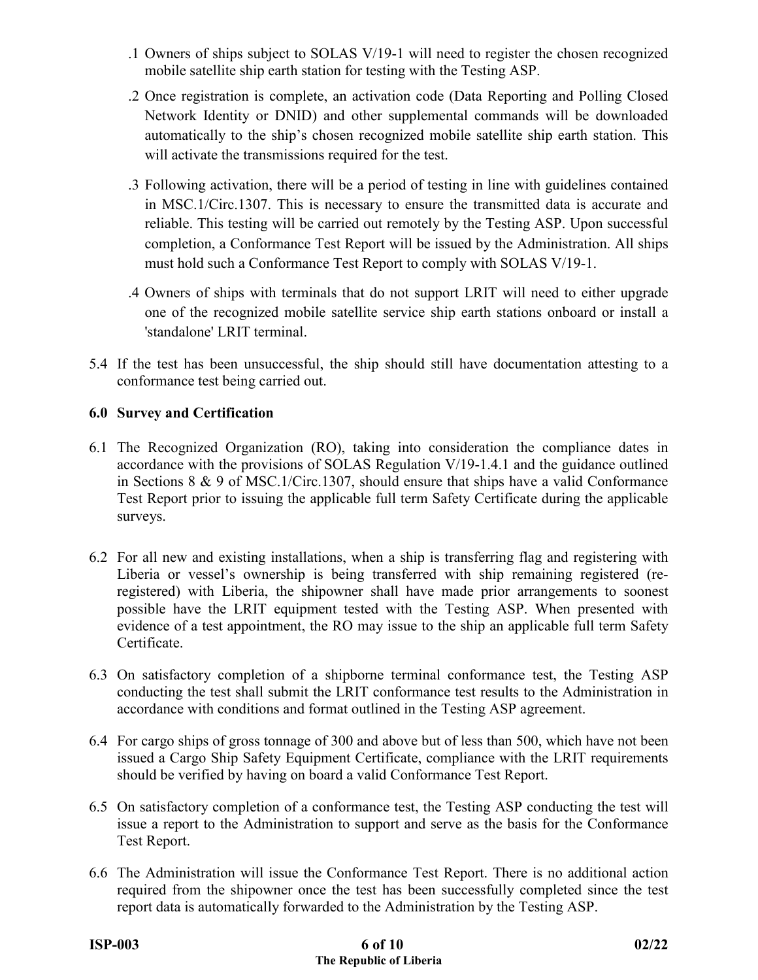- .1 Owners of ships subject to SOLAS V/19-1 will need to register the chosen recognized mobile satellite ship earth station for testing with the Testing ASP.
- .2 Once registration is complete, an activation code (Data Reporting and Polling Closed Network Identity or DNID) and other supplemental commands will be downloaded automatically to the ship's chosen recognized mobile satellite ship earth station. This will activate the transmissions required for the test.
- .3 Following activation, there will be a period of testing in line with guidelines contained in MSC.1/Circ.1307. This is necessary to ensure the transmitted data is accurate and reliable. This testing will be carried out remotely by the Testing ASP. Upon successful completion, a Conformance Test Report will be issued by the Administration. All ships must hold such a Conformance Test Report to comply with SOLAS V/19-1.
- .4 Owners of ships with terminals that do not support LRIT will need to either upgrade one of the recognized mobile satellite service ship earth stations onboard or install a 'standalone' LRIT terminal.
- 5.4 If the test has been unsuccessful, the ship should still have documentation attesting to a conformance test being carried out.

# **6.0 Survey and Certification**

- 6.1 The Recognized Organization (RO), taking into consideration the compliance dates in accordance with the provisions of SOLAS Regulation V/19-1.4.1 and the guidance outlined in Sections 8 & 9 of MSC.1/Circ.1307, should ensure that ships have a valid Conformance Test Report prior to issuing the applicable full term Safety Certificate during the applicable surveys.
- 6.2 For all new and existing installations, when a ship is transferring flag and registering with Liberia or vessel's ownership is being transferred with ship remaining registered (reregistered) with Liberia, the shipowner shall have made prior arrangements to soonest possible have the LRIT equipment tested with the Testing ASP. When presented with evidence of a test appointment, the RO may issue to the ship an applicable full term Safety Certificate.
- 6.3 On satisfactory completion of a shipborne terminal conformance test, the Testing ASP conducting the test shall submit the LRIT conformance test results to the Administration in accordance with conditions and format outlined in the Testing ASP agreement.
- 6.4 For cargo ships of gross tonnage of 300 and above but of less than 500, which have not been issued a Cargo Ship Safety Equipment Certificate, compliance with the LRIT requirements should be verified by having on board a valid Conformance Test Report.
- 6.5 On satisfactory completion of a conformance test, the Testing ASP conducting the test will issue a report to the Administration to support and serve as the basis for the Conformance Test Report.
- 6.6 The Administration will issue the Conformance Test Report. There is no additional action required from the shipowner once the test has been successfully completed since the test report data is automatically forwarded to the Administration by the Testing ASP.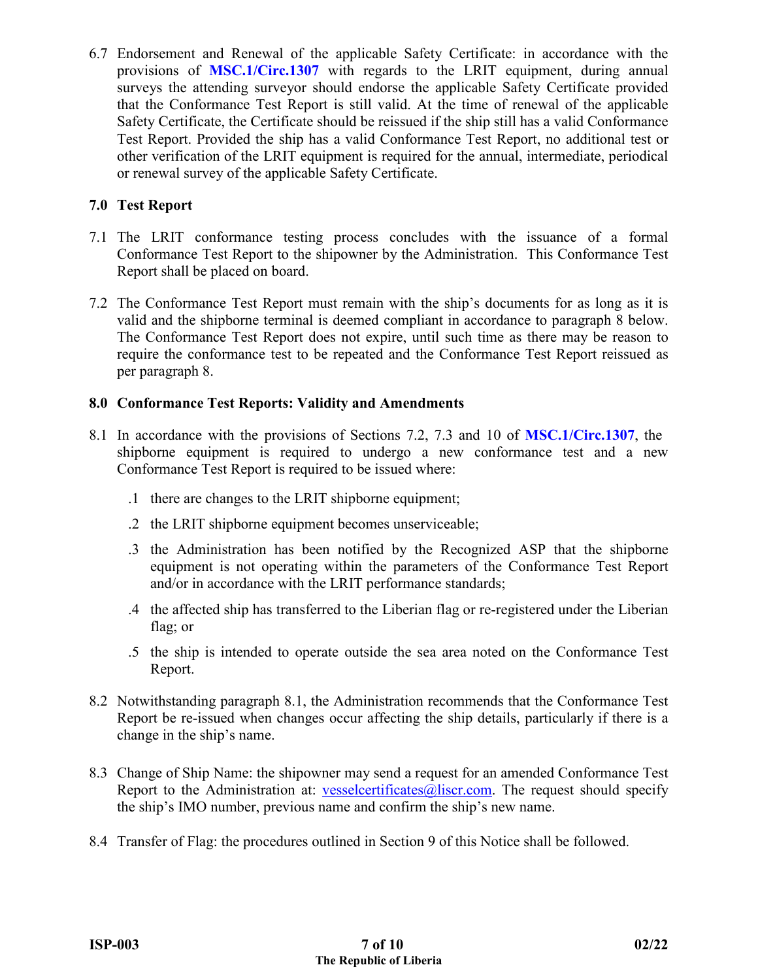6.7 Endorsement and Renewal of the applicable Safety Certificate: in accordance with the provisions of **[MSC.1/Circ.1307](https://www.liscr.com/sites/default/files/liscr_imo_resolutions/MSC.1-Circ.1307.pdf)** with regards to the LRIT equipment, during annual surveys the attending surveyor should endorse the applicable Safety Certificate provided that the Conformance Test Report is still valid. At the time of renewal of the applicable Safety Certificate, the Certificate should be reissued if the ship still has a valid Conformance Test Report. Provided the ship has a valid Conformance Test Report, no additional test or other verification of the LRIT equipment is required for the annual, intermediate, periodical or renewal survey of the applicable Safety Certificate.

## **7.0 Test Report**

- 7.1 The LRIT conformance testing process concludes with the issuance of a formal Conformance Test Report to the shipowner by the Administration. This Conformance Test Report shall be placed on board.
- 7.2 The Conformance Test Report must remain with the ship's documents for as long as it is valid and the shipborne terminal is deemed compliant in accordance to paragraph 8 below. The Conformance Test Report does not expire, until such time as there may be reason to require the conformance test to be repeated and the Conformance Test Report reissued as per paragraph 8.

### **8.0 Conformance Test Reports: Validity and Amendments**

- 8.1 In accordance with the provisions of Sections 7.2, 7.3 and 10 of **[MSC.1/Circ.1307](https://www.liscr.com/sites/default/files/liscr_imo_resolutions/MSC.1-Circ.1307.pdf)**, the shipborne equipment is required to undergo a new conformance test and a new Conformance Test Report is required to be issued where:
	- .1 there are changes to the LRIT shipborne equipment;
	- .2 the LRIT shipborne equipment becomes unserviceable;
	- .3 the Administration has been notified by the Recognized ASP that the shipborne equipment is not operating within the parameters of the Conformance Test Report and/or in accordance with the LRIT performance standards;
	- .4 the affected ship has transferred to the Liberian flag or re-registered under the Liberian flag; or
	- .5 the ship is intended to operate outside the sea area noted on the Conformance Test Report.
- 8.2 Notwithstanding paragraph 8.1, the Administration recommends that the Conformance Test Report be re-issued when changes occur affecting the ship details, particularly if there is a change in the ship's name.
- 8.3 Change of Ship Name: the shipowner may send a request for an amended Conformance Test Report to the Administration at: [vesselcertificates@liscr.com.](mailto:vesselcertificates@liscr.com) The request should specify the ship's IMO number, previous name and confirm the ship's new name.
- 8.4 Transfer of Flag: the procedures outlined in Section 9 of this Notice shall be followed.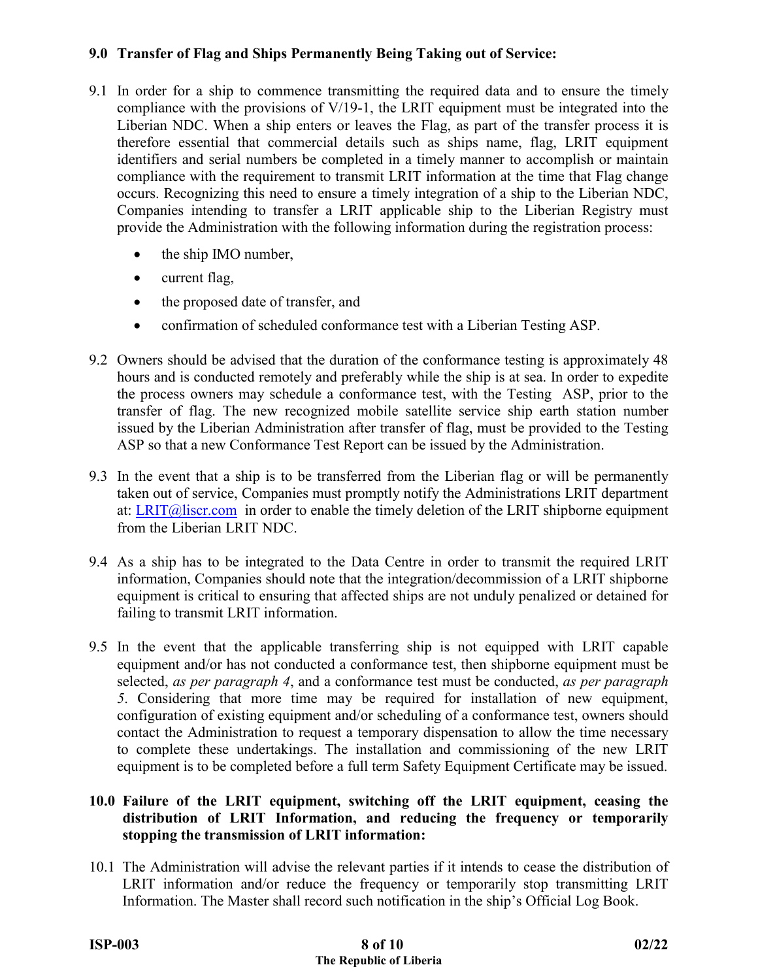# **9.0 Transfer of Flag and Ships Permanently Being Taking out of Service:**

- 9.1 In order for a ship to commence transmitting the required data and to ensure the timely compliance with the provisions of V/19-1, the LRIT equipment must be integrated into the Liberian NDC. When a ship enters or leaves the Flag, as part of the transfer process it is therefore essential that commercial details such as ships name, flag, LRIT equipment identifiers and serial numbers be completed in a timely manner to accomplish or maintain compliance with the requirement to transmit LRIT information at the time that Flag change occurs. Recognizing this need to ensure a timely integration of a ship to the Liberian NDC, Companies intending to transfer a LRIT applicable ship to the Liberian Registry must provide the Administration with the following information during the registration process:
	- the ship IMO number,
	- current flag,
	- the proposed date of transfer, and
	- confirmation of scheduled conformance test with a Liberian Testing ASP.
- 9.2 Owners should be advised that the duration of the conformance testing is approximately 48 hours and is conducted remotely and preferably while the ship is at sea. In order to expedite the process owners may schedule a conformance test, with the Testing ASP, prior to the transfer of flag. The new recognized mobile satellite service ship earth station number issued by the Liberian Administration after transfer of flag, must be provided to the Testing ASP so that a new Conformance Test Report can be issued by the Administration.
- 9.3 In the event that a ship is to be transferred from the Liberian flag or will be permanently taken out of service, Companies must promptly notify the Administrations LRIT department at: [LRIT@liscr.com](mailto:LRIT@liscr.com) in order to enable the timely deletion of the LRIT shipborne equipment from the Liberian LRIT NDC.
- 9.4 As a ship has to be integrated to the Data Centre in order to transmit the required LRIT information, Companies should note that the integration/decommission of a LRIT shipborne equipment is critical to ensuring that affected ships are not unduly penalized or detained for failing to transmit LRIT information.
- 9.5 In the event that the applicable transferring ship is not equipped with LRIT capable equipment and/or has not conducted a conformance test, then shipborne equipment must be selected, *as per paragraph 4*, and a conformance test must be conducted, *as per paragraph 5*. Considering that more time may be required for installation of new equipment, configuration of existing equipment and/or scheduling of a conformance test, owners should contact the Administration to request a temporary dispensation to allow the time necessary to complete these undertakings. The installation and commissioning of the new LRIT equipment is to be completed before a full term Safety Equipment Certificate may be issued.

## **10.0 Failure of the LRIT equipment, switching off the LRIT equipment, ceasing the distribution of LRIT Information, and reducing the frequency or temporarily stopping the transmission of LRIT information:**

10.1 The Administration will advise the relevant parties if it intends to cease the distribution of LRIT information and/or reduce the frequency or temporarily stop transmitting LRIT Information. The Master shall record such notification in the ship's Official Log Book.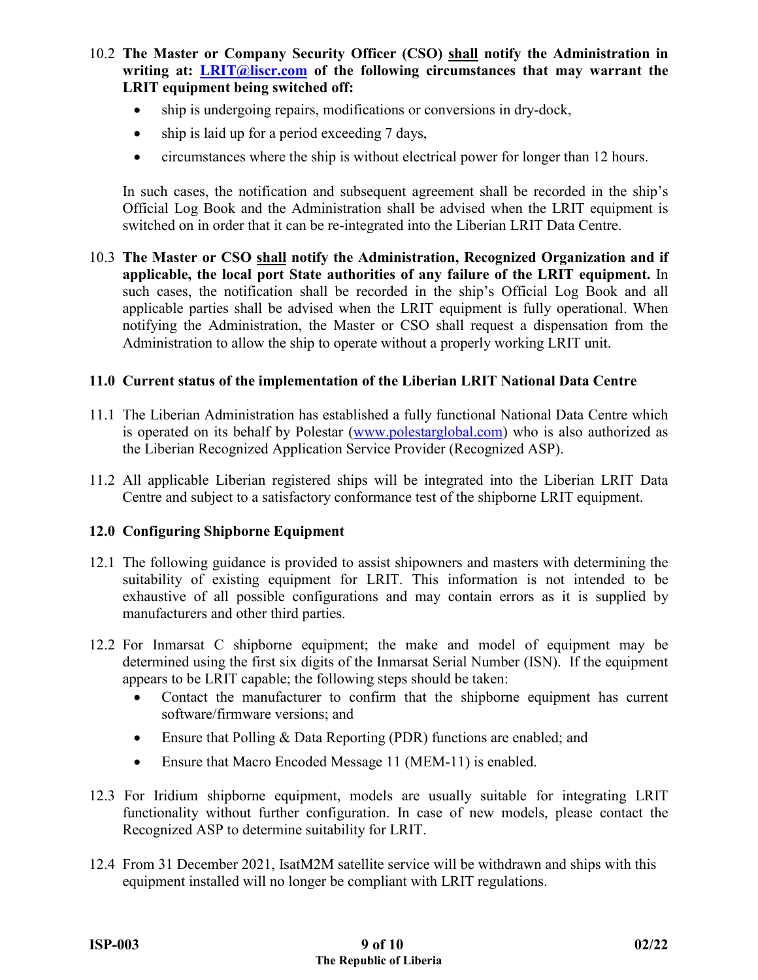- 10.2 **The Master or Company Security Officer (CSO) shall notify the Administration in writing at: [LRIT@liscr.com](mailto:LRIT@liscr.com) of the following circumstances that may warrant the LRIT equipment being switched off:**
	- ship is undergoing repairs, modifications or conversions in dry-dock,
	- ship is laid up for a period exceeding 7 days,
	- circumstances where the ship is without electrical power for longer than 12 hours.

In such cases, the notification and subsequent agreement shall be recorded in the ship's Official Log Book and the Administration shall be advised when the LRIT equipment is switched on in order that it can be re-integrated into the Liberian LRIT Data Centre.

10.3 **The Master or CSO shall notify the Administration, Recognized Organization and if applicable, the local port State authorities of any failure of the LRIT equipment.** In such cases, the notification shall be recorded in the ship's Official Log Book and all applicable parties shall be advised when the LRIT equipment is fully operational. When notifying the Administration, the Master or CSO shall request a dispensation from the Administration to allow the ship to operate without a properly working LRIT unit.

#### **11.0 Current status of the implementation of the Liberian LRIT National Data Centre**

- 11.1 The Liberian Administration has established a fully functional National Data Centre which is operated on its behalf by Polestar [\(www.polestarglobal.com\)](http://www.polestarglobal.com/) who is also authorized as the Liberian Recognized Application Service Provider (Recognized ASP).
- 11.2 All applicable Liberian registered ships will be integrated into the Liberian LRIT Data Centre and subject to a satisfactory conformance test of the shipborne LRIT equipment.

#### **12.0 Configuring Shipborne Equipment**

- 12.1 The following guidance is provided to assist shipowners and masters with determining the suitability of existing equipment for LRIT. This information is not intended to be exhaustive of all possible configurations and may contain errors as it is supplied by manufacturers and other third parties.
- 12.2 For Inmarsat C shipborne equipment; the make and model of equipment may be determined using the first six digits of the Inmarsat Serial Number (ISN). If the equipment appears to be LRIT capable; the following steps should be taken:
	- Contact the manufacturer to confirm that the shipborne equipment has current software/firmware versions; and
	- Ensure that Polling & Data Reporting (PDR) functions are enabled; and
	- Ensure that Macro Encoded Message 11 (MEM-11) is enabled.
- 12.3 For Iridium shipborne equipment, models are usually suitable for integrating LRIT functionality without further configuration. In case of new models, please contact the Recognized ASP to determine suitability for LRIT.
- 12.4 From 31 December 2021, IsatM2M satellite service will be withdrawn and ships with this equipment installed will no longer be compliant with LRIT regulations.